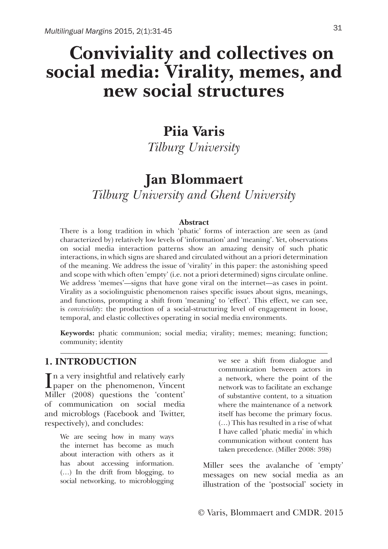# **Conviviality and collectives on social media: Virality, memes, and new social structures**

# **Piia Varis**

*Tilburg University* 

## **Jan Blommaert**

*Tilburg University and Ghent University*

#### **Abstract**

There is a long tradition in which 'phatic' forms of interaction are seen as (and characterized by) relatively low levels of 'information' and 'meaning'. Yet, observations on social media interaction patterns show an amazing density of such phatic interactions, in which signs are shared and circulated without an a priori determination of the meaning. We address the issue of 'virality' in this paper: the astonishing speed and scope with which often 'empty' (i.e. not a priori determined) signs circulate online. We address 'memes'—signs that have gone viral on the internet—as cases in point. Virality as a sociolinguistic phenomenon raises specific issues about signs, meanings, and functions, prompting a shift from 'meaning' to 'effect'. This effect, we can see, is *conviviality*: the production of a social-structuring level of engagement in loose, temporal, and elastic collectives operating in social media environments.

**Keywords:** phatic communion; social media; virality; memes; meaning; function; community; identity

### **1. INTRODUCTION**

In a very insightful and relatively early<br>paper on the phenomenon, Vincent paper on the phenomenon, Vincent Miller (2008) questions the 'content' of communication on social media and microblogs (Facebook and Twitter, respectively), and concludes:

> We are seeing how in many ways the internet has become as much about interaction with others as it has about accessing information. (…) In the drift from blogging, to social networking, to microblogging

we see a shift from dialogue and communication between actors in a network, where the point of the network was to facilitate an exchange of substantive content, to a situation where the maintenance of a network itself has become the primary focus. (…) This has resulted in a rise of what I have called 'phatic media' in which communication without content has taken precedence. (Miller 2008: 398)

Miller sees the avalanche of 'empty' messages on new social media as an illustration of the 'postsocial' society in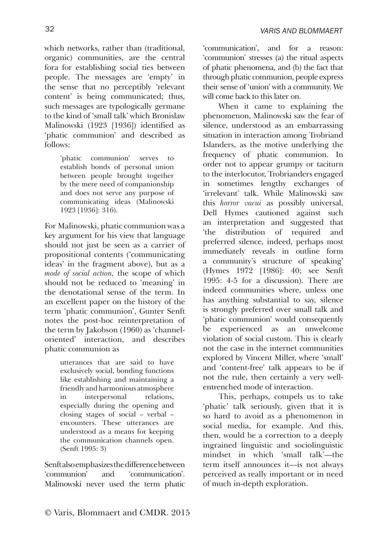which networks, rather than (traditional, organic) communities, are the central fora for establishing social ties between people. The messages are 'empty' in the sense that no perceptibly 'relevant content' is being communicated; thus, such messages are typologically germane to the kind of 'small talk' which Bronislaw Malinowski (1923 [1936]) identified as 'phatic communion' and described as follows:

> 'phatic communion' serves to establish bonds of personal union between people brought together by the mere need of companionship and does not serve any purpose of communicating ideas (Malinowski 1923 [1936]: 316).

For Malinowski, phatic communion was a key argument for his view that language should not just be seen as a carrier of propositional contents ('communicating ideas' in the fragment above), but as a *mode of social action,* the scope of which should not be reduced to 'meaning' in the denotational sense of the term. In an excellent paper on the history of the term 'phatic communion', Gunter Senft notes the post-hoc reinterpretation of the term by Jakobson (1960) as 'channeloriented' interaction, and describes phatic communion as

> utterances that are said to have exclusively social, bonding functions like establishing and maintaining a friendly and harmonious atmosphere in interpersonal relations, especially during the opening and closing stages of social – verbal – encounters. These utterances are understood as a means for keeping the communication channels open. (Senft 1995: 3)

Senft also emphasizes the difference between 'communion' and 'communication'. Malinowski never used the term phatic 'communication', and for a reason: 'communion' stresses (a) the ritual aspects of phatic phenomena, and (b) the fact that through phatic communion, people express their sense of 'union' with a community. We will come back to this later on.

When it came to explaining the phenomenon, Malinowski saw the fear of silence, understood as an embarrassing situation in interaction among Trobriand Islanders, as the motive underlying the frequency of phatic communion. In order not to appear grumpy or taciturn to the interlocutor, Trobrianders engaged in sometimes lengthy exchanges of 'irrelevant' talk. While Malinowski saw this *horror vacui* as possibly universal, Dell Hymes cautioned against such an interpretation and suggested that 'the distribution of required and preferred silence, indeed, perhaps most immediately reveals in outline form a community's structure of speaking' (Hymes 1972 [1986]: 40; see Senft 1995: 4-5 for a discussion). There are indeed communities where, unless one has anything substantial to say, silence is strongly preferred over small talk and 'phatic communion' would consequently be experienced as an unwelcome violation of social custom. This is clearly not the case in the internet communities explored by Vincent Miller, where 'small' and 'content-free' talk appears to be if not the rule, then certainly a very wellentrenched mode of interaction.

This, perhaps, compels us to take 'phatic' talk seriously, given that it is so hard to avoid as a phenomenon in social media, for example. And this, then, would be a correction to a deeply ingrained linguistic and sociolinguistic mindset in which 'small talk'—the term itself announces it—is not always perceived as really important or in need of much in-depth exploration.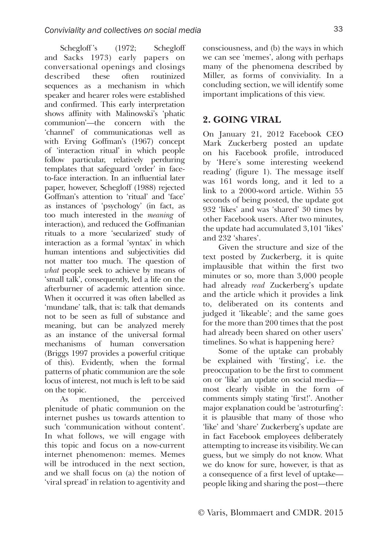Schegloff's (1972; Schegloff and Sacks 1973) early papers on conversational openings and closings described these often routinized sequences as a mechanism in which speaker and hearer roles were established and confirmed. This early interpretation shows affinity with Malinowski's 'phatic communion'—the concern with the 'channel' of communicationas well as with Erving Goffman's (1967) concept of 'interaction ritual' in which people follow particular, relatively perduring templates that safeguard 'order' in faceto-face interaction. In an influential later paper, however, Schegloff (1988) rejected Goffman's attention to 'ritual' and 'face' as instances of 'psychology' (in fact, as too much interested in the *meaning* of interaction), and reduced the Goffmanian rituals to a more 'secularized' study of interaction as a formal 'syntax' in which human intentions and subjectivities did not matter too much. The question of *what* people seek to achieve by means of 'small talk', consequently, led a life on the afterburner of academic attention since. When it occurred it was often labelled as 'mundane' talk, that is: talk that demands not to be seen as full of substance and meaning, but can be analyzed merely as an instance of the universal formal mechanisms of human conversation (Briggs 1997 provides a powerful critique of this). Evidently, when the formal patterns of phatic communion are the sole locus of interest, not much is left to be said on the topic.

As mentioned, the perceived plenitude of phatic communion on the internet pushes us towards attention to such 'communication without content'. In what follows, we will engage with this topic and focus on a now-current internet phenomenon: memes. Memes will be introduced in the next section. and we shall focus on (a) the notion of 'viral spread' in relation to agentivity and

consciousness, and (b) the ways in which we can see 'memes', along with perhaps many of the phenomena described by Miller, as forms of conviviality. In a concluding section, we will identify some important implications of this view.

### **2. GOING VIRAL**

On January 21, 2012 Facebook CEO Mark Zuckerberg posted an update on his Facebook profile, introduced by 'Here's some interesting weekend reading' (figure 1). The message itself was 161 words long, and it led to a link to a 2000-word article. Within 55 seconds of being posted, the update got 932 'likes' and was 'shared' 30 times by other Facebook users. After two minutes, the update had accumulated 3,101 'likes' and 232 'shares'.

Given the structure and size of the text posted by Zuckerberg, it is quite implausible that within the first two minutes or so, more than 3,000 people had already *read* Zuckerberg's update and the article which it provides a link to, deliberated on its contents and judged it 'likeable'; and the same goes for the more than 200 times that the post had already been shared on other users' timelines. So what is happening here?

Some of the uptake can probably be explained with 'firsting', i.e. the preoccupation to be the first to comment on or 'like' an update on social media most clearly visible in the form of comments simply stating 'first!'. Another major explanation could be 'astroturfing': it is plausible that many of those who 'like' and 'share' Zuckerberg's update are in fact Facebook employees deliberately attempting to increase its visibility. We can guess, but we simply do not know. What we do know for sure, however, is that as a consequence of a first level of uptake people liking and sharing the post—there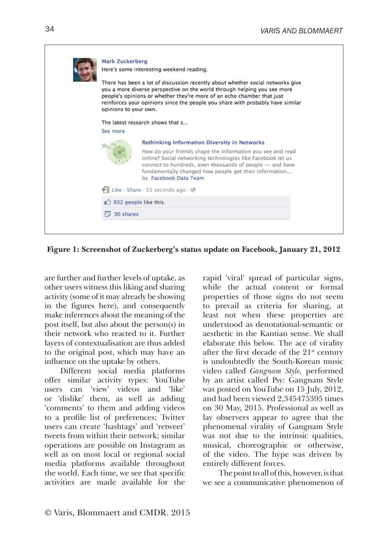|  | <b>Mark Zuckerberg</b><br>Here's some interesting weekend reading.<br>There has been a lot of discussion recently about whether social networks give<br>you a more diverse perspective on the world through helping you see more<br>people's opinions or whether they're more of an echo chamber that just<br>reinforces your opinions since the people you share with probably have similar<br>opinions to your own.<br>The latest research shows that s<br>See more |                                                                                                                                                                                                                                                                                                                                   |  |
|--|-----------------------------------------------------------------------------------------------------------------------------------------------------------------------------------------------------------------------------------------------------------------------------------------------------------------------------------------------------------------------------------------------------------------------------------------------------------------------|-----------------------------------------------------------------------------------------------------------------------------------------------------------------------------------------------------------------------------------------------------------------------------------------------------------------------------------|--|
|  |                                                                                                                                                                                                                                                                                                                                                                                                                                                                       | <b>Rethinking Information Diversity in Networks</b><br>How do your friends shape the information you see and read<br>online? Social networking technologies like Facebook let us<br>connect to hundreds, even thousands of people -- and have<br>fundamentally changed how people get their information<br>by: Facebook Data Team |  |
|  | Like · Share · 55 seconds ago · @                                                                                                                                                                                                                                                                                                                                                                                                                                     |                                                                                                                                                                                                                                                                                                                                   |  |
|  | 932 people like this.                                                                                                                                                                                                                                                                                                                                                                                                                                                 |                                                                                                                                                                                                                                                                                                                                   |  |
|  | 司 30 shares                                                                                                                                                                                                                                                                                                                                                                                                                                                           |                                                                                                                                                                                                                                                                                                                                   |  |

**Figure 1: Screenshot of Zuckerberg's status update on Facebook, January 21, 2012**

are further and further levels of uptake, as other users witness this liking and sharing activity (some of it may already be showing in the figures here), and consequently make inferences about the meaning of the post itself, but also about the person(s) in their network who reacted to it. Further layers of contextualisation are thus added to the original post, which may have an influence on the uptake by others.

Different social media platforms offer similar activity types: YouTube users can 'view' videos and 'like' or 'dislike' them, as well as adding 'comments' to them and adding videos to a profile list of preferences; Twitter users can create 'hashtags' and 'retweet' tweets from within their network; similar operations are possible on Instagram as well as on most local or regional social media platforms available throughout the world. Each time, we see that specific activities are made available for the

rapid 'viral' spread of particular signs, while the actual content or formal properties of those signs do not seem to prevail as criteria for sharing, at least not when these properties are understood as denotational-semantic or aesthetic in the Kantian sense. We shall elaborate this below. The ace of virality after the first decade of the  $21<sup>st</sup>$  century is undoubtedly the South-Korean music video called *Gangnam Style,* performed by an artist called Psy: Gangnam Style was posted on YouTube on 15 July, 2012, and had been viewed 2,345475395 times on 30 May, 2015. Professional as well as lay observers appear to agree that the phenomenal virality of Gangnam Style was not due to the intrinsic qualities, musical, choreographic or otherwise, of the video. The hype was driven by entirely different forces.

The point to all of this, however, is that we see a communicative phenomenon of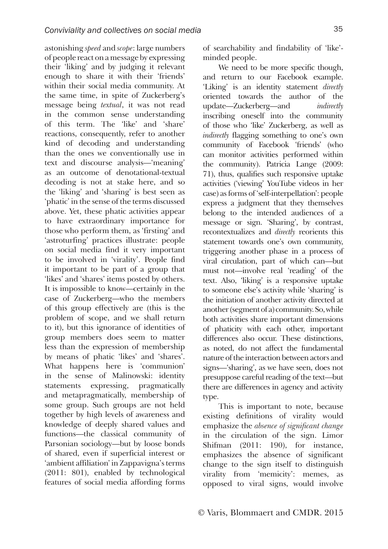astonishing *speed* and *scope*: large numbers of people react on a message by expressing their 'liking' and by judging it relevant enough to share it with their 'friends' within their social media community. At the same time, in spite of Zuckerberg's message being *textual*, it was not read in the common sense understanding of this term. The 'like' and 'share' reactions, consequently, refer to another kind of decoding and understanding than the ones we conventionally use in text and discourse analysis—'meaning' as an outcome of denotational-textual decoding is not at stake here, and so the 'liking' and 'sharing' is best seen as 'phatic' in the sense of the terms discussed above. Yet, these phatic activities appear to have extraordinary importance for those who perform them, as 'firsting' and 'astroturfing' practices illustrate: people on social media find it very important to be involved in 'virality'. People find it important to be part of a group that 'likes' and 'shares' items posted by others. It is impossible to know—certainly in the case of Zuckerberg—who the members of this group effectively are (this is the problem of scope, and we shall return to it), but this ignorance of identities of group members does seem to matter less than the expression of membership by means of phatic 'likes' and 'shares'. What happens here is 'communion' in the sense of Malinowski: identity statements expressing, pragmatically and metapragmatically, membership of some group. Such groups are not held together by high levels of awareness and knowledge of deeply shared values and functions—the classical community of Parsonian sociology—but by loose bonds of shared, even if superficial interest or 'ambient affiliation' in Zappavigna's terms (2011: 801), enabled by technological features of social media affording forms

of searchability and findability of 'like' minded people.

We need to be more specific though, and return to our Facebook example. 'Liking' is an identity statement *directly* oriented towards the author of the update—Zuckerberg—and *indirectly* inscribing oneself into the community of those who 'like' Zuckerberg, as well as *indirectly* flagging something to one's own community of Facebook 'friends' (who can monitor activities performed within the community). Patricia Lange (2009: 71), thus, qualifies such responsive uptake activities ('viewing' YouTube videos in her case) as forms of 'self-interpellation': people express a judgment that they themselves belong to the intended audiences of a message or sign. 'Sharing', by contrast, recontextualizes and *directly* reorients this statement towards one's own community, triggering another phase in a process of viral circulation, part of which can—but must not—involve real 'reading' of the text. Also, 'liking' is a responsive uptake to someone else's activity while 'sharing' is the initiation of another activity directed at another (segment of a) community. So, while both activities share important dimensions of phaticity with each other, important differences also occur. These distinctions, as noted, do not affect the fundamental nature of the interaction between actors and signs—'sharing', as we have seen, does not presuppose careful reading of the text—but there are differences in agency and activity type.

This is important to note, because existing definitions of virality would emphasize the *absence of significant change* in the circulation of the sign. Limor Shifman (2011: 190), for instance, emphasizes the absence of significant change to the sign itself to distinguish virality from 'memicity': memes, as opposed to viral signs, would involve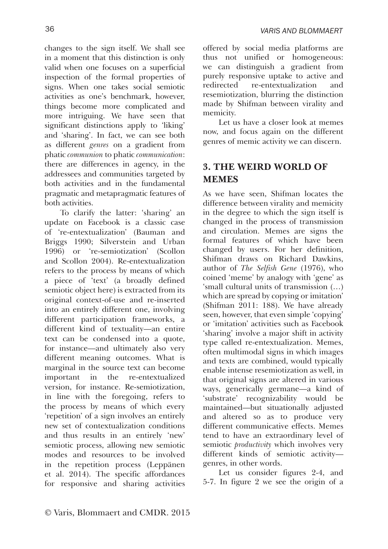changes to the sign itself. We shall see in a moment that this distinction is only valid when one focuses on a superficial inspection of the formal properties of signs. When one takes social semiotic activities as one's benchmark, however, things become more complicated and more intriguing. We have seen that significant distinctions apply to 'liking' and 'sharing'. In fact, we can see both as different *genres* on a gradient from phatic *communion* to phatic *communication*: there are differences in agency, in the addressees and communities targeted by both activities and in the fundamental pragmatic and metapragmatic features of both activities.

To clarify the latter: 'sharing' an update on Facebook is a classic case of 're-entextualization' (Bauman and Briggs 1990; Silverstein and Urban 1996) or 're-semiotization' (Scollon and Scollon 2004). Re-entextualization refers to the process by means of which a piece of 'text' (a broadly defined semiotic object here) is extracted from its original context-of-use and re-inserted into an entirely different one, involving different participation frameworks, a different kind of textuality—an entire text can be condensed into a quote, for instance—and ultimately also very different meaning outcomes. What is marginal in the source text can become important in the re-entextualized version, for instance. Re-semiotization, in line with the foregoing, refers to the process by means of which every 'repetition' of a sign involves an entirely new set of contextualization conditions and thus results in an entirely 'new' semiotic process, allowing new semiotic modes and resources to be involved in the repetition process (Leppänen et al. 2014). The specific affordances for responsive and sharing activities

offered by social media platforms are thus not unified or homogeneous: we can distinguish a gradient from purely responsive uptake to active and redirected re-entextualization and resemiotization, blurring the distinction made by Shifman between virality and memicity.

Let us have a closer look at memes now, and focus again on the different genres of memic activity we can discern.

### **3. THE WEIRD WORLD OF MEMES**

As we have seen, Shifman locates the difference between virality and memicity in the degree to which the sign itself is changed in the process of transmission and circulation. Memes are signs the formal features of which have been changed by users. For her definition, Shifman draws on Richard Dawkins, author of *The Selfish Gene* (1976), who coined 'meme' by analogy with 'gene' as 'small cultural units of transmission (…) which are spread by copying or imitation' (Shifman 2011: 188). We have already seen, however, that even simple 'copying' or 'imitation' activities such as Facebook 'sharing' involve a major shift in activity type called re-entextualization. Memes, often multimodal signs in which images and texts are combined, would typically enable intense resemiotization as well, in that original signs are altered in various ways, generically germane—a kind of 'substrate' recognizability would be maintained—but situationally adjusted and altered so as to produce very different communicative effects. Memes tend to have an extraordinary level of semiotic *productivity* which involves very different kinds of semiotic activity genres, in other words.

Let us consider figures 2-4, and 5-7. In figure 2 we see the origin of a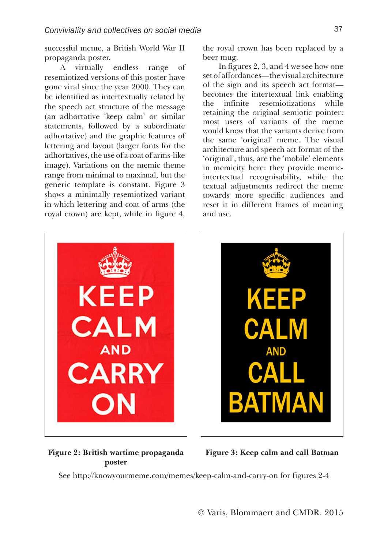successful meme, a British World War II propaganda poster.

A virtually endless range of resemiotized versions of this poster have gone viral since the year 2000. They can be identified as intertextually related by the speech act structure of the message (an adhortative 'keep calm' or similar statements, followed by a subordinate adhortative) and the graphic features of lettering and layout (larger fonts for the adhortatives, the use of a coat of arms-like image). Variations on the memic theme range from minimal to maximal, but the generic template is constant. Figure 3 shows a minimally resemiotized variant in which lettering and coat of arms (the royal crown) are kept, while in figure 4,

the royal crown has been replaced by a beer mug.

In figures 2, 3, and 4 we see how one set of affordances—the visual architecture of the sign and its speech act format becomes the intertextual link enabling the infinite resemiotizations while retaining the original semiotic pointer: most users of variants of the meme would know that the variants derive from the same 'original' meme. The visual architecture and speech act format of the 'original', thus, are the 'mobile' elements in memicity here: they provide memicintertextual recognisability, while the textual adjustments redirect the meme towards more specific audiences and reset it in different frames of meaning and use.





### **Figure 2: British wartime propaganda poster**

**Figure 3: Keep calm and call Batman**

See http://knowyourmeme.com/memes/keep-calm-and-carry-on for figures 2-4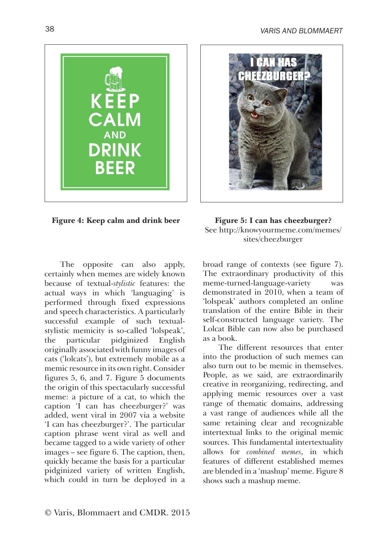

**Figure 4: Keep calm and drink beer Figure 5: I can has cheezburger?** 

The opposite can also apply, certainly when memes are widely known because of textual-*stylistic* features: the actual ways in which 'languaging' is performed through fixed expressions and speech characteristics. A particularly successful example of such textualstylistic memicity is so-called 'lolspeak', the particular pidginized English originally associated with funny images of cats ('lolcats'), but extremely mobile as a memic resource in its own right. Consider figures 5, 6, and 7. Figure 5 documents the origin of this spectacularly successful meme: a picture of a cat, to which the caption 'I can has cheezburger?' was added, went viral in 2007 via a website 'I can has cheezburger?'. The particular caption phrase went viral as well and became tagged to a wide variety of other images – see figure 6. The caption, then, quickly became the basis for a particular pidginized variety of written English, which could in turn be deployed in a



See http://knowyourmeme.com/memes/ sites/cheezburger

broad range of contexts (see figure 7). The extraordinary productivity of this meme-turned-language-variety was demonstrated in 2010, when a team of 'lolspeak' authors completed an online translation of the entire Bible in their self-constructed language variety. The Lolcat Bible can now also be purchased as a book.

The different resources that enter into the production of such memes can also turn out to be memic in themselves. People, as we said, are extraordinarily creative in reorganizing, redirecting, and applying memic resources over a vast range of thematic domains, addressing a vast range of audiences while all the same retaining clear and recognizable intertextual links to the original memic sources. This fundamental intertextuality allows for *combined memes*, in which features of different established memes are blended in a 'mashup' meme. Figure 8 shows such a mashup meme.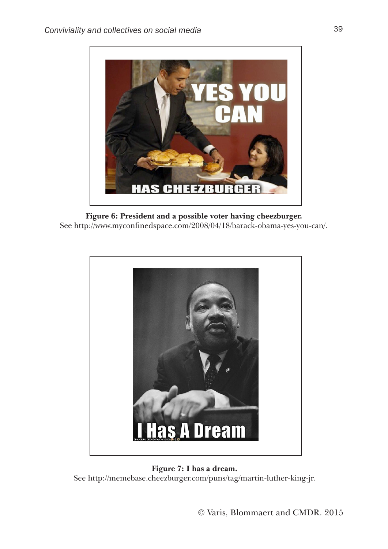

**Figure 6: President and a possible voter having cheezburger.**  See http://www.myconfinedspace.com/2008/04/18/barack-obama-yes-you-can/.



**Figure 7: I has a dream.**  See http://memebase.cheezburger.com/puns/tag/martin-luther-king-jr.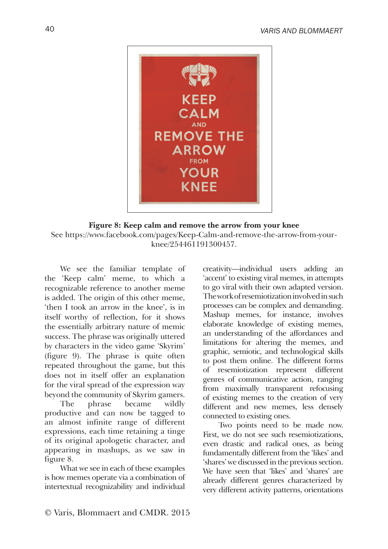

#### **Figure 8: Keep calm and remove the arrow from your knee** See https://www.facebook.com/pages/Keep-Calm-and-remove-the-arrow-from-your-

knee/254461191300457.

We see the familiar template of the 'Keep calm' meme, to which a recognizable reference to another meme is added. The origin of this other meme, 'then I took an arrow in the knee', is in itself worthy of reflection, for it shows the essentially arbitrary nature of memic success. The phrase was originally uttered by characters in the video game 'Skyrim' (figure 9). The phrase is quite often repeated throughout the game, but this does not in itself offer an explanation for the viral spread of the expression way beyond the community of Skyrim gamers.

The phrase became wildly productive and can now be tagged to an almost infinite range of different expressions, each time retaining a tinge of its original apologetic character, and appearing in mashups, as we saw in figure 8.

What we see in each of these examples is how memes operate via a combination of intertextual recognizability and individual

creativity—individual users adding an 'accent' to existing viral memes, in attempts to go viral with their own adapted version. The work of resemiotization involved in such processes can be complex and demanding. Mashup memes, for instance, involves elaborate knowledge of existing memes, an understanding of the affordances and limitations for altering the memes, and graphic, semiotic, and technological skills to post them online. The different forms of resemiotization represent different genres of communicative action, ranging from maximally transparent refocusing of existing memes to the creation of very different and new memes, less densely connected to existing ones.

Two points need to be made now. First, we do not see such resemiotizations, even drastic and radical ones, as being fundamentally different from the 'likes' and 'shares' we discussed in the previous section. We have seen that 'likes' and 'shares' are already different genres characterized by very different activity patterns, orientations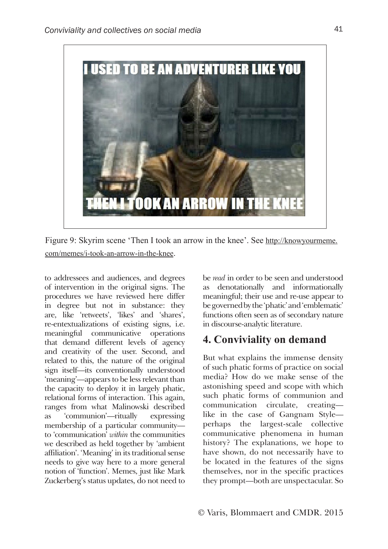

Figure 9: Skyrim scene 'Then I took an arrow in the knee'. See http://knowyourmeme. com/memes/i-took-an-arrow-in-the-knee.

to addressees and audiences, and degrees of intervention in the original signs. The procedures we have reviewed here differ in degree but not in substance: they are, like 'retweets', 'likes' and 'shares', re-entextualizations of existing signs, i.e. meaningful communicative operations that demand different levels of agency and creativity of the user. Second, and related to this, the nature of the original sign itself—its conventionally understood 'meaning'—appears to be less relevant than the capacity to deploy it in largely phatic, relational forms of interaction. This again, ranges from what Malinowski described as 'communion'—ritually expressing membership of a particular community to 'communication' *within* the communities we described as held together by 'ambient affiliation'. 'Meaning' in its traditional sense needs to give way here to a more general notion of 'function'. Memes, just like Mark Zuckerberg's status updates, do not need to

be *read* in order to be seen and understood as denotationally and informationally meaningful; their use and re-use appear to be governed by the 'phatic' and 'emblematic' functions often seen as of secondary nature in discourse-analytic literature.

### **4. Conviviality on demand**

But what explains the immense density of such phatic forms of practice on social media? How do we make sense of the astonishing speed and scope with which such phatic forms of communion and communication circulate, creating like in the case of Gangnam Style perhaps the largest-scale collective communicative phenomena in human history? The explanations, we hope to have shown, do not necessarily have to be located in the features of the signs themselves, nor in the specific practices they prompt—both are unspectacular. So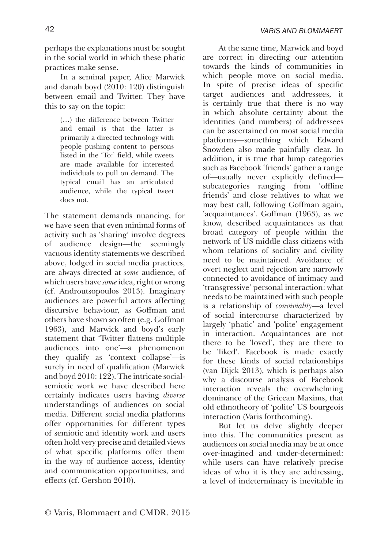perhaps the explanations must be sought in the social world in which these phatic practices make sense.

In a seminal paper, Alice Marwick and danah boyd (2010: 120) distinguish between email and Twitter. They have this to say on the topic:

> (…) the difference between Twitter and email is that the latter is primarily a directed technology with people pushing content to persons listed in the 'To:' field, while tweets are made available for interested individuals to pull on demand. The typical email has an articulated audience, while the typical tweet does not.

The statement demands nuancing, for we have seen that even minimal forms of activity such as 'sharing' involve degrees of audience design—the seemingly vacuous identity statements we described above, lodged in social media practices, are always directed at *some* audience, of which users have *some* idea, right or wrong (cf. Androutsopoulos 2013). Imaginary audiences are powerful actors affecting discursive behaviour, as Goffman and others have shown so often (e.g. Goffman 1963), and Marwick and boyd's early statement that 'Twitter flattens multiple audiences into one'—a phenomenon they qualify as 'context collapse'—is surely in need of qualification (Marwick and boyd 2010: 122). The intricate socialsemiotic work we have described here certainly indicates users having *diverse* understandings of audiences on social media. Different social media platforms offer opportunities for different types of semiotic and identity work and users often hold very precise and detailed views of what specific platforms offer them in the way of audience access, identity and communication opportunities, and effects (cf. Gershon 2010).

At the same time, Marwick and boyd are correct in directing our attention towards the kinds of communities in which people move on social media. In spite of precise ideas of specific target audiences and addressees, it is certainly true that there is no way in which absolute certainty about the identities (and numbers) of addressees can be ascertained on most social media platforms—something which Edward Snowden also made painfully clear. In addition, it is true that lump categories such as Facebook 'friends' gather a range of—usually never explicitly defined subcategories ranging from 'offline friends' and close relatives to what we may best call, following Goffman again, 'acquaintances'. Goffman (1963), as we know, described acquaintances as that broad category of people within the network of US middle class citizens with whom relations of sociality and civility need to be maintained. Avoidance of overt neglect and rejection are narrowly connected to avoidance of intimacy and 'transgressive' personal interaction: what needs to be maintained with such people is a relationship of *conviviality*—a level of social intercourse characterized by largely 'phatic' and 'polite' engagement in interaction. Acquaintances are not there to be 'loved', they are there to be 'liked'. Facebook is made exactly for these kinds of social relationships (van Dijck 2013), which is perhaps also why a discourse analysis of Facebook interaction reveals the overwhelming dominance of the Gricean Maxims, that old ethnotheory of 'polite' US bourgeois interaction (Varis forthcoming).

But let us delve slightly deeper into this. The communities present as audiences on social media may be at once over-imagined and under-determined: while users can have relatively precise ideas of who it is they are addressing, a level of indeterminacy is inevitable in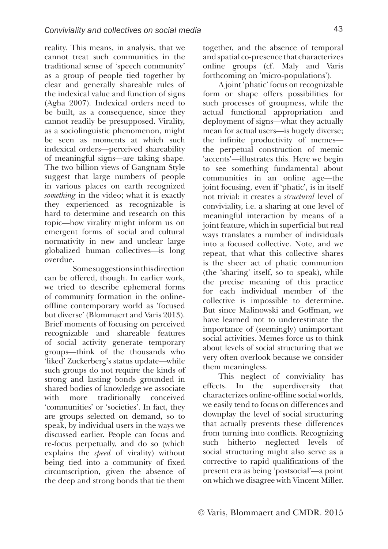reality. This means, in analysis, that we cannot treat such communities in the traditional sense of 'speech community' as a group of people tied together by clear and generally shareable rules of the indexical value and function of signs (Agha 2007). Indexical orders need to be built, as a consequence, since they cannot readily be presupposed. Virality, as a sociolinguistic phenomenon, might be seen as moments at which such indexical orders—perceived shareability of meaningful signs—are taking shape. The two billion views of Gangnam Style suggest that large numbers of people in various places on earth recognized *something* in the video; what it is exactly they experienced as recognizable is hard to determine and research on this topic—how virality might inform us on emergent forms of social and cultural normativity in new and unclear large globalized human collectives—is long overdue.

 Some suggestions in this direction can be offered, though. In earlier work, we tried to describe ephemeral forms of community formation in the onlineoffline contemporary world as 'focused but diverse' (Blommaert and Varis 2013). Brief moments of focusing on perceived recognizable and shareable features of social activity generate temporary groups—think of the thousands who 'liked' Zuckerberg's status update—while such groups do not require the kinds of strong and lasting bonds grounded in shared bodies of knowledge we associate with more traditionally conceived 'communities' or 'societies'. In fact, they are groups selected on demand, so to speak, by individual users in the ways we discussed earlier. People can focus and re-focus perpetually, and do so (which explains the *speed* of virality) without being tied into a community of fixed circumscription, given the absence of the deep and strong bonds that tie them

together, and the absence of temporal and spatial co-presence that characterizes online groups (cf. Maly and Varis forthcoming on 'micro-populations').

A joint 'phatic' focus on recognizable form or shape offers possibilities for such processes of groupness, while the actual functional appropriation and deployment of signs—what they actually mean for actual users—is hugely diverse; the infinite productivity of memes the perpetual construction of memic 'accents'—illustrates this. Here we begin to see something fundamental about communities in an online age—the joint focusing, even if 'phatic', is in itself not trivial: it creates a *structural* level of conviviality, i.e. a sharing at one level of meaningful interaction by means of a joint feature, which in superficial but real ways translates a number of individuals into a focused collective. Note, and we repeat, that what this collective shares is the sheer act of phatic communion (the 'sharing' itself, so to speak), while the precise meaning of this practice for each individual member of the collective is impossible to determine. But since Malinowski and Goffman, we have learned not to underestimate the importance of (seemingly) unimportant social activities. Memes force us to think about levels of social structuring that we very often overlook because we consider them meaningless.

This neglect of conviviality has effects. In the superdiversity that characterizes online-offline social worlds, we easily tend to focus on differences and downplay the level of social structuring that actually prevents these differences from turning into conflicts. Recognizing such hitherto neglected levels of social structuring might also serve as a corrective to rapid qualifications of the present era as being 'postsocial'—a point on which we disagree with Vincent Miller.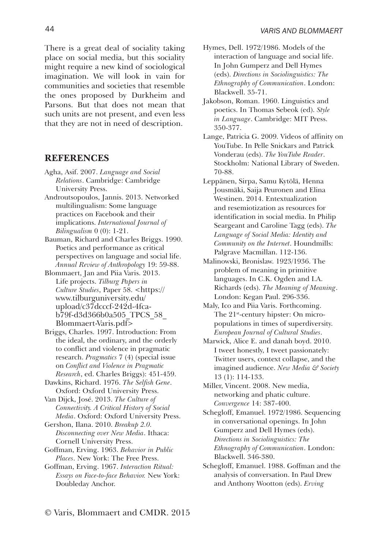There is a great deal of sociality taking place on social media, but this sociality might require a new kind of sociological imagination. We will look in vain for communities and societies that resemble the ones proposed by Durkheim and Parsons. But that does not mean that such units are not present, and even less that they are not in need of description.

### **REFERENCES**

- Agha, Asif. 2007. *Language and Social Relations*. Cambridge: Cambridge University Press.
- Androutsopoulos, Jannis. 2013. Networked multilingualism: Some language practices on Facebook and their implications. *International Journal of Bilingualism* 0 (0): 1-21.
- Bauman, Richard and Charles Briggs. 1990. Poetics and performance as critical perspectives on language and social life. *Annual Review of Anthropology* 19: 59-88.
- Blommaert, Jan and Piia Varis. 2013. Life projects. *Tilburg Papers in Culture Studies*, Paper 58. <https:// www.tilburguniversity.edu/ upload/c37dcccf-242d-4fcab79f-d3d366b0a505\_TPCS\_58\_ Blommaert-Varis.pdf>
- Briggs, Charles. 1997. Introduction: From the ideal, the ordinary, and the orderly to conflict and violence in pragmatic research. *Pragmatics* 7 (4) (special issue on *Conflict and Violence in Pragmatic Research*, ed. Charles Briggs): 451-459.
- Dawkins, Richard. 1976. *The Selfish Gene*. Oxford: Oxford University Press.
- Van Dijck, José. 2013. *The Culture of Connectivity. A Critical History of Social Media*. Oxford: Oxford University Press.
- Gershon, Ilana. 2010. *Breakup 2.0. Disconnecting over New Media*. Ithaca: Cornell University Press.
- Goffman, Erving. 1963. *Behavior in Public Places*. New York: The Free Press.
- Goffman, Erving. 1967. *Interaction Ritual: Essays on Face-to-face Behavior.* New York: Doubleday Anchor.
- Hymes, Dell. 1972/1986. Models of the interaction of language and social life. In John Gumperz and Dell Hymes (eds). *Directions in Sociolinguistics: The Ethnography of Communication*. London: Blackwell. 35-71.
- Jakobson, Roman. 1960. Linguistics and poetics. In Thomas Sebeok (ed). *Style in Language*. Cambridge: MIT Press. 350-377.
- Lange, Patricia G. 2009. Videos of affinity on YouTube. In Pelle Snickars and Patrick Vonderau (eds). *The YouTube Reader*. Stockholm: National Library of Sweden. 70-88.
- Leppänen, Sirpa, Samu Kytölä, Henna Jousmäki, Saija Peuronen and Elina Westinen. 2014. Entextualization and resemiotization as resources for identification in social media. In Philip Seargeant and Caroline Tagg (eds). *The Language of Social Media: Identity and Community on the Internet*. Houndmills: Palgrave Macmillan. 112-136.
- Malinowski, Bronislaw. 1923/1936. The problem of meaning in primitive languages. In C.K. Ogden and I.A. Richards (eds). *The Meaning of Meaning*. London: Kegan Paul. 296-336.
- Maly, Ico and Piia Varis. Forthcoming. The 21<sup>st</sup>-century hipster: On micropopulations in times of superdiversity. *European Journal of Cultural Studies*.
- Marwick, Alice E. and danah boyd. 2010. I tweet honestly, I tweet passionately: Twitter users, context collapse, and the imagined audience. *New Media & Society* 13 (1): 114-133.
- Miller, Vincent. 2008. New media, networking and phatic culture. *Convergence* 14: 387-400.
- Schegloff, Emanuel. 1972/1986. Sequencing in conversational openings. In John Gumperz and Dell Hymes (eds). *Directions in Sociolinguistics: The Ethnography of Communication*. London: Blackwell. 346-380.
- Schegloff, Emanuel. 1988. Goffman and the analysis of conversation. In Paul Drew and Anthony Wootton (eds). *Erving*